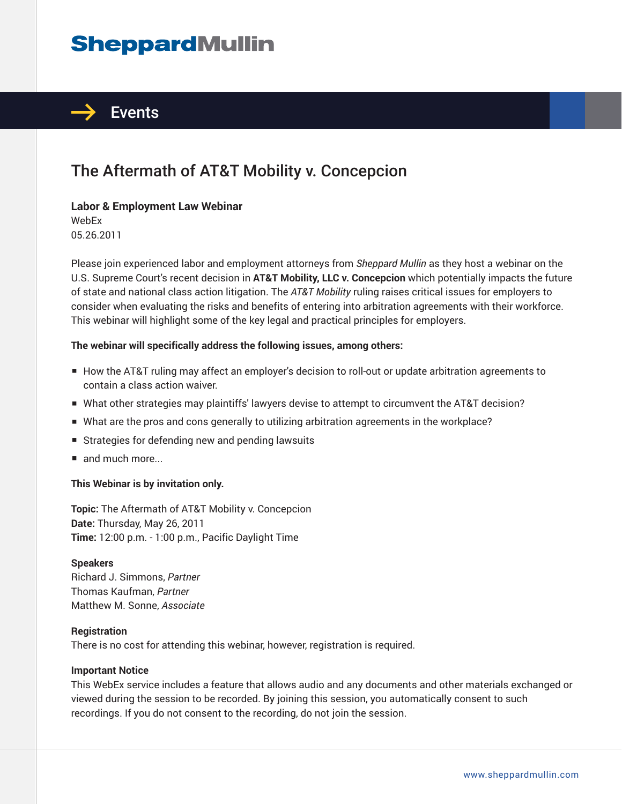# **SheppardMullin**



## The Aftermath of AT&T Mobility v. Concepcion

#### **Labor & Employment Law Webinar**

WebEx 05.26.2011

Please join experienced labor and employment attorneys from *Sheppard Mullin* as they host a webinar on the U.S. Supreme Court's recent decision in **AT&T Mobility, LLC v. Concepcion** which potentially impacts the future of state and national class action litigation. The *AT&T Mobility* ruling raises critical issues for employers to consider when evaluating the risks and benefits of entering into arbitration agreements with their workforce. This webinar will highlight some of the key legal and practical principles for employers.

#### **The webinar will specifically address the following issues, among others:**

- How the AT&T ruling may affect an employer's decision to roll-out or update arbitration agreements to contain a class action waiver.
- What other strategies may plaintiffs' lawyers devise to attempt to circumvent the AT&T decision?
- What are the pros and cons generally to utilizing arbitration agreements in the workplace?
- Strategies for defending new and pending lawsuits
- and much more...

#### **This Webinar is by invitation only.**

**Topic:** The Aftermath of AT&T Mobility v. Concepcion **Date:** Thursday, May 26, 2011 **Time:** 12:00 p.m. - 1:00 p.m., Pacific Daylight Time

#### **Speakers**

Richard J. Simmons, *Partner* Thomas Kaufman, *Partner* Matthew M. Sonne, *Associate*

#### **Registration**

There is no cost for attending this webinar, however, registration is required.

#### **Important Notice**

This WebEx service includes a feature that allows audio and any documents and other materials exchanged or viewed during the session to be recorded. By joining this session, you automatically consent to such recordings. If you do not consent to the recording, do not join the session.